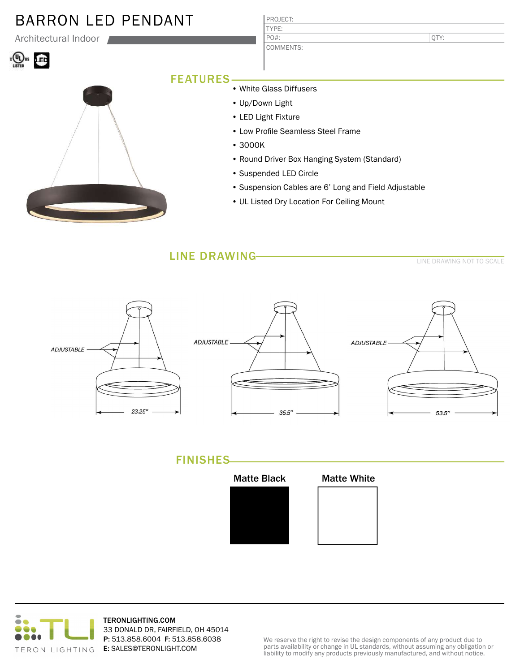# BARRON LED PENDANT

Architectural Indoor

# **W**<sub>us</sub> LED



| PROJECT:  |
|-----------|
| TYPF:     |
| PO#:      |
| COMMENTS: |

QTY:

## FEATURES

• White Glass Diffusers

- Up/Down Light
- LED Light Fixture
- Low Profile Seamless Steel Frame
- 3000K
- Round Driver Box Hanging System (Standard)
- Suspended LED Circle
- Suspension Cables are 6' Long and Field Adjustable
- UL Listed Dry Location For Ceiling Mount

### LINE DRAWING

LINE DRAWING NOT TO SCALE



## FINISHES





TERONLIGHTING.COM 33 DONALD DR, FAIRFIELD, OH 45014 P: 513.858.6004 F: 513.858.6038 E: SALES@TERONLIGHT.COM